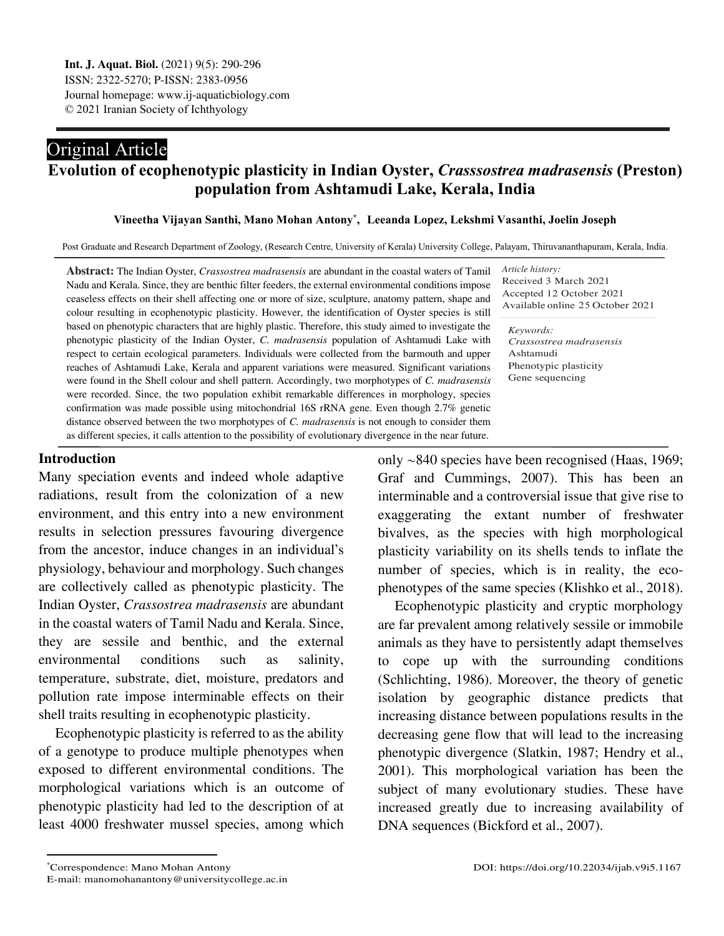# Original Article

## **Evolution of ecophenotypic plasticity in Indian Oyster,** *Crasssostrea madrasensis* **(Preston) population from Ashtamudi Lake, Kerala, India**

#### **Vineetha Vijayan Santhi, Mano Mohan Antony\* , [1](#page-0-0) Leeanda Lopez, Lekshmi Vasanthi, Joelin Joseph**

Post Graduate and Research Department of Zoology, (Research Centre, University of Kerala) University College, Palayam, Thiruvananthapuram, Kerala, India.

reaches of Ashtamudi Lake, Kerala and apparent variations were measured. Significant variations *Keywords:* Ashtamudi Gene sequencing **Abstract:** The Indian Oyster, *Crassostrea madrasensis* are abundant in the coastal waters of Tamil Nadu and Kerala. Since, they are benthic filter feeders, the external environmental conditions impose ceaseless effects on their shell affecting one or more of size, sculpture, anatomy pattern, shape and colour resulting in ecophenotypic plasticity. However, the identification of Oyster species is still based on phenotypic characters that are highly plastic. Therefore, this study aimed to investigate the phenotypic plasticity of the Indian Oyster, *C. madrasensis* population of Ashtamudi Lake with respect to certain ecological parameters. Individuals were collected from the barmouth and upper were found in the Shell colour and shell pattern. Accordingly, two morphotypes of *C. madrasensis* were recorded. Since, the two population exhibit remarkable differences in morphology, species confirmation was made possible using mitochondrial 16S rRNA gene. Even though 2.7% genetic distance observed between the two morphotypes of *C. madrasensis* is not enough to consider them

*Article history:* Received 3 March 2021 Accepted 12 October 2021 Available online 25 October 2021

*Crassostrea madrasensis* Phenotypic plasticity

## **Introduction**

Many speciation events and indeed whole adaptive radiations, result from the colonization of a new environment, and this entry into a new environment results in selection pressures favouring divergence from the ancestor, induce changes in an individual's physiology, behaviour and morphology. Such changes are collectively called as phenotypic plasticity. The Indian Oyster, *Crassostrea madrasensis* are abundant in the coastal waters of Tamil Nadu and Kerala. Since, they are sessile and benthic, and the external environmental conditions such as salinity, temperature, substrate, diet, moisture, predators and pollution rate impose interminable effects on their shell traits resulting in ecophenotypic plasticity.

as different species, it calls attention to the possibility of evolutionary divergence in the near future.

Ecophenotypic plasticity is referred to as the ability of a genotype to produce multiple phenotypes when exposed to different environmental conditions. The morphological variations which is an outcome of phenotypic plasticity had led to the description of at least 4000 freshwater mussel species, among which

only ∼840 species have been recognised (Haas, 1969; Graf and Cummings, 2007). This has been an interminable and a controversial issue that give rise to exaggerating the extant number of freshwater bivalves, as the species with high morphological plasticity variability on its shells tends to inflate the number of species, which is in reality, the ecophenotypes of the same species (Klishko et al., 2018).

Ecophenotypic plasticity and cryptic morphology are far prevalent among relatively sessile or immobile animals as they have to persistently adapt themselves to cope up with the surrounding conditions (Schlichting, 1986). Moreover, the theory of genetic isolation by geographic distance predicts that increasing distance between populations results in the decreasing gene flow that will lead to the increasing phenotypic divergence (Slatkin, 1987; Hendry et al., 2001). This morphological variation has been the subject of many evolutionary studies. These have increased greatly due to increasing availability of DNA sequences (Bickford et al., 2007).

 $\overline{a}$ 

<span id="page-0-0"></span>*<sup>\*</sup>Correspondence: Mano Mohan Antony* 

E-mail: manomohanantony@universitycollege.ac.in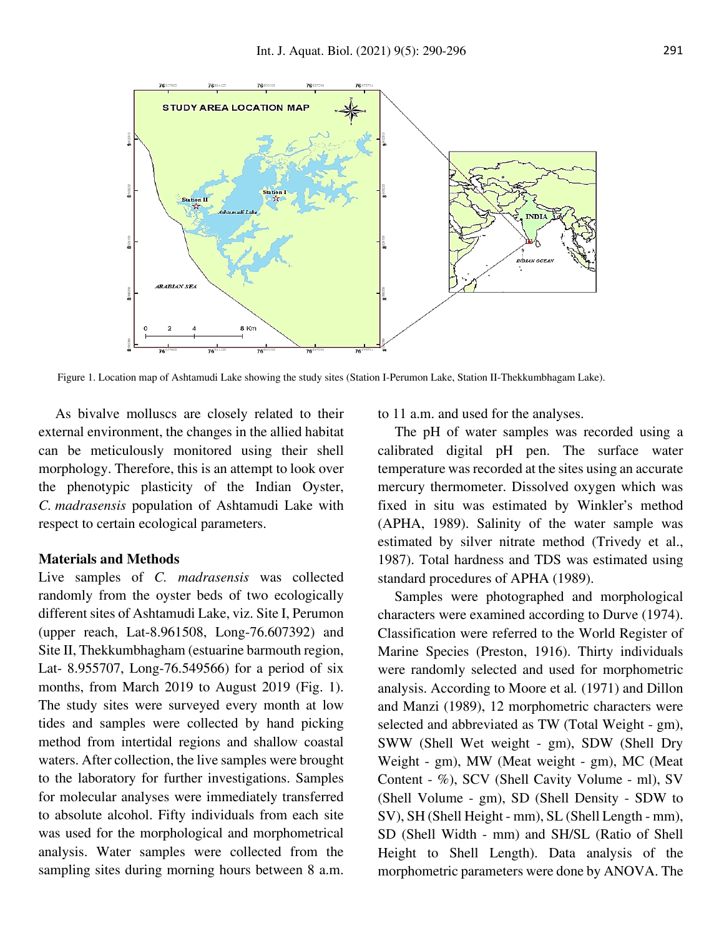

Figure 1. Location map of Ashtamudi Lake showing the study sites (Station I-Perumon Lake, Station II-Thekkumbhagam Lake).

As bivalve molluscs are closely related to their external environment, the changes in the allied habitat can be meticulously monitored using their shell morphology. Therefore, this is an attempt to look over the phenotypic plasticity of the Indian Oyster, *C. madrasensis* population of Ashtamudi Lake with respect to certain ecological parameters.

#### **Materials and Methods**

Live samples of *C. madrasensis* was collected randomly from the oyster beds of two ecologically different sites of Ashtamudi Lake, viz. Site I, Perumon (upper reach, Lat-8.961508, Long-76.607392) and Site II, Thekkumbhagham (estuarine barmouth region, Lat- 8.955707, Long-76.549566) for a period of six months, from March 2019 to August 2019 (Fig. 1). The study sites were surveyed every month at low tides and samples were collected by hand picking method from intertidal regions and shallow coastal waters. After collection, the live samples were brought to the laboratory for further investigations. Samples for molecular analyses were immediately transferred to absolute alcohol. Fifty individuals from each site was used for the morphological and morphometrical analysis. Water samples were collected from the sampling sites during morning hours between 8 a.m.

to 11 a.m. and used for the analyses.

The pH of water samples was recorded using a calibrated digital pH pen. The surface water temperature was recorded at the sites using an accurate mercury thermometer. Dissolved oxygen which was fixed in situ was estimated by Winkler's method (APHA, 1989). Salinity of the water sample was estimated by silver nitrate method (Trivedy et al., 1987). Total hardness and TDS was estimated using standard procedures of APHA (1989).

Samples were photographed and morphological characters were examined according to Durve (1974). Classification were referred to the World Register of Marine Species (Preston, 1916). Thirty individuals were randomly selected and used for morphometric analysis. According to Moore et al*.* (1971) and Dillon and Manzi (1989), 12 morphometric characters were selected and abbreviated as TW (Total Weight - gm), SWW (Shell Wet weight - gm), SDW (Shell Dry Weight - gm), MW (Meat weight - gm), MC (Meat Content - %), SCV (Shell Cavity Volume - ml), SV (Shell Volume - gm), SD (Shell Density - SDW to SV), SH (Shell Height - mm), SL (Shell Length - mm), SD (Shell Width - mm) and SH/SL (Ratio of Shell Height to Shell Length). Data analysis of the morphometric parameters were done by ANOVA. The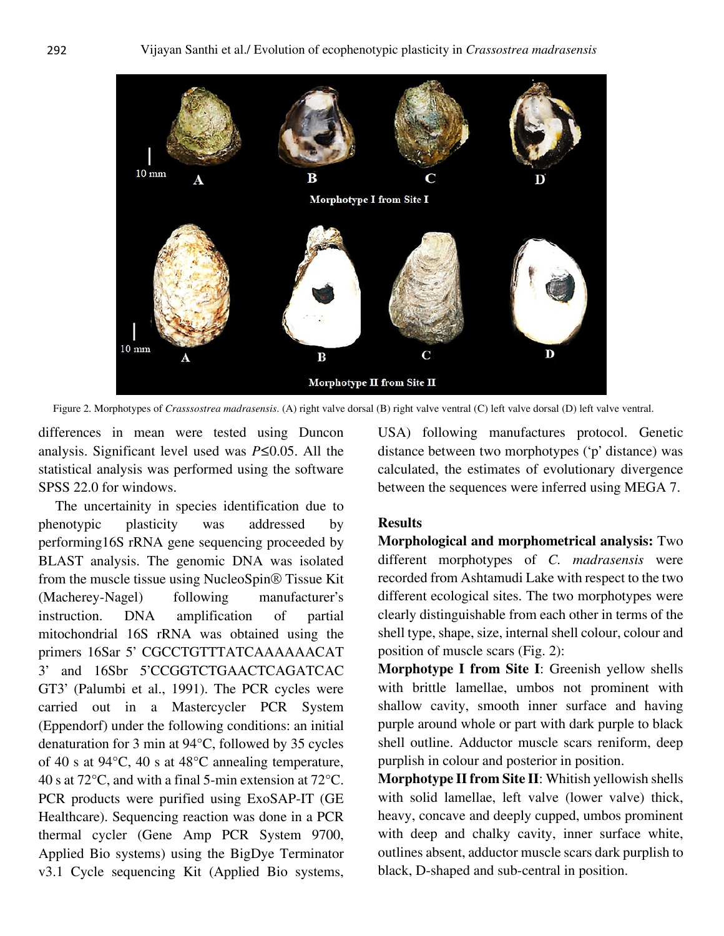

Figure 2. Morphotypes of *Crasssostrea madrasensis*. (A) right valve dorsal (B) right valve ventral (C) left valve dorsal (D) left valve ventral.

differences in mean were tested using Duncon analysis. Significant level used was *P*≤0.05. All the statistical analysis was performed using the software SPSS 22.0 for windows.

The uncertainity in species identification due to phenotypic plasticity was addressed by performing16S rRNA gene sequencing proceeded by BLAST analysis. The genomic DNA was isolated from the muscle tissue using NucleoSpin® Tissue Kit (Macherey-Nagel) following manufacturer's instruction. DNA amplification of partial mitochondrial 16S rRNA was obtained using the primers 16Sar 5' CGCCTGTTTATCAAAAAACAT 3' and 16Sbr 5'CCGGTCTGAACTCAGATCAC GT3' (Palumbi et al., 1991). The PCR cycles were carried out in a Mastercycler PCR System (Eppendorf) under the following conditions: an initial denaturation for 3 min at 94°C, followed by 35 cycles of 40 s at 94°C, 40 s at 48°C annealing temperature, 40 s at 72°C, and with a final 5-min extension at 72°C. PCR products were purified using ExoSAP-IT (GE Healthcare). Sequencing reaction was done in a PCR thermal cycler (Gene Amp PCR System 9700, Applied Bio systems) using the BigDye Terminator v3.1 Cycle sequencing Kit (Applied Bio systems, USA) following manufactures protocol. Genetic distance between two morphotypes ('p' distance) was calculated, the estimates of evolutionary divergence between the sequences were inferred using MEGA 7.

## **Results**

**Morphological and morphometrical analysis:** Two different morphotypes of *C. madrasensis* were recorded from Ashtamudi Lake with respect to the two different ecological sites. The two morphotypes were clearly distinguishable from each other in terms of the shell type, shape, size, internal shell colour, colour and position of muscle scars (Fig. 2):

**Morphotype I from Site I**: Greenish yellow shells with brittle lamellae, umbos not prominent with shallow cavity, smooth inner surface and having purple around whole or part with dark purple to black shell outline. Adductor muscle scars reniform, deep purplish in colour and posterior in position.

**Morphotype II from Site II**: Whitish yellowish shells with solid lamellae, left valve (lower valve) thick, heavy, concave and deeply cupped, umbos prominent with deep and chalky cavity, inner surface white, outlines absent, adductor muscle scars dark purplish to black, D-shaped and sub-central in position.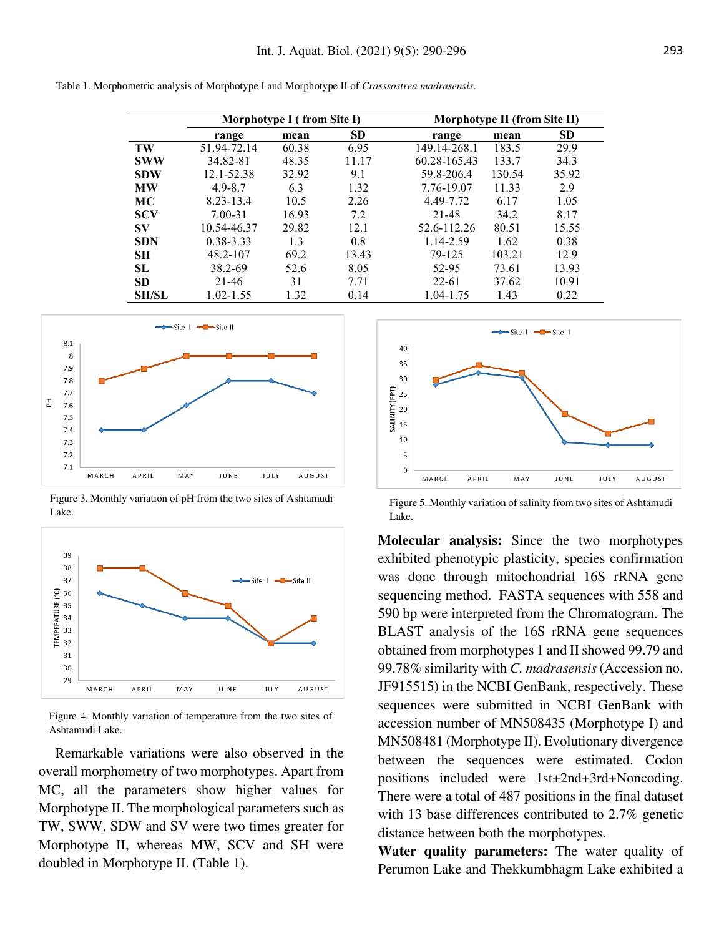|  |  |  |  | Table 1. Morphometric analysis of Morphotype I and Morphotype II of Crasssostrea madrasensis. |  |  |  |
|--|--|--|--|-----------------------------------------------------------------------------------------------|--|--|--|
|--|--|--|--|-----------------------------------------------------------------------------------------------|--|--|--|

|              |               | Morphotype I (from Site I) |           | Morphotype II (from Site II) |        |           |  |
|--------------|---------------|----------------------------|-----------|------------------------------|--------|-----------|--|
|              | range         | mean                       | <b>SD</b> | range                        | mean   | <b>SD</b> |  |
| TW           | 51.94-72.14   | 60.38                      | 6.95      | 149.14-268.1                 | 183.5  | 29.9      |  |
| <b>SWW</b>   | 34.82-81      | 48.35                      | 11.17     | 60.28-165.43                 | 133.7  | 34.3      |  |
| <b>SDW</b>   | 12.1-52.38    | 32.92                      | 9.1       | 59.8-206.4                   | 130.54 | 35.92     |  |
| <b>MW</b>    | $4.9 - 8.7$   | 6.3                        | 1.32      | 7.76-19.07                   | 11.33  | 2.9       |  |
| <b>MC</b>    | 8.23-13.4     | 10.5                       | 2.26      | 4.49-7.72                    | 6.17   | 1.05      |  |
| <b>SCV</b>   | $7.00 - 31$   | 16.93                      | 7.2       | 21-48                        | 34.2   | 8.17      |  |
| <b>SV</b>    | 10.54-46.37   | 29.82                      | 12.1      | 52.6-112.26                  | 80.51  | 15.55     |  |
| <b>SDN</b>   | $0.38 - 3.33$ | 1.3                        | 0.8       | 1.14-2.59                    | 1.62   | 0.38      |  |
| <b>SH</b>    | 48.2-107      | 69.2                       | 13.43     | 79-125                       | 103.21 | 12.9      |  |
| SL           | 38.2-69       | 52.6                       | 8.05      | 52-95                        | 73.61  | 13.93     |  |
| <b>SD</b>    | 21-46         | 31                         | 7.71      | $22 - 61$                    | 37.62  | 10.91     |  |
| <b>SH/SL</b> | 1.02-1.55     | 1.32                       | 0.14      | 1.04-1.75                    | 1.43   | 0.22      |  |



Figure 3. Monthly variation of pH from the two sites of Ashtamudi Lake.



Figure 4. Monthly variation of temperature from the two sites of Ashtamudi Lake.

Remarkable variations were also observed in the overall morphometry of two morphotypes. Apart from MC, all the parameters show higher values for Morphotype II. The morphological parameters such as TW, SWW, SDW and SV were two times greater for Morphotype II, whereas MW, SCV and SH were doubled in Morphotype II. (Table 1).



Figure 5. Monthly variation of salinity from two sites of Ashtamudi Lake.

**Molecular analysis:** Since the two morphotypes exhibited phenotypic plasticity, species confirmation was done through mitochondrial 16S rRNA gene sequencing method. FASTA sequences with 558 and 590 bp were interpreted from the Chromatogram. The BLAST analysis of the 16S rRNA gene sequences obtained from morphotypes 1 and II showed 99.79 and 99.78% similarity with *C. madrasensis* (Accession no. JF915515) in the NCBI GenBank, respectively. These sequences were submitted in NCBI GenBank with accession number of MN508435 (Morphotype I) and MN508481 (Morphotype II). Evolutionary divergence between the sequences were estimated. Codon positions included were 1st+2nd+3rd+Noncoding. There were a total of 487 positions in the final dataset with 13 base differences contributed to 2.7% genetic distance between both the morphotypes.

**Water quality parameters:** The water quality of Perumon Lake and Thekkumbhagm Lake exhibited a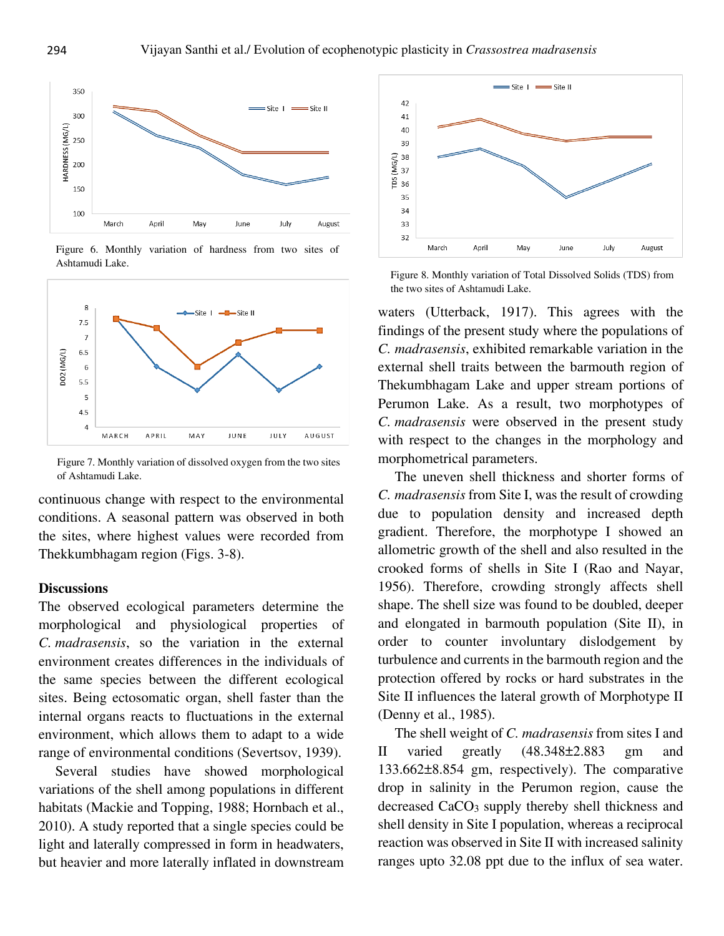

Figure 6. Monthly variation of hardness from two sites of Ashtamudi Lake.



Figure 7. Monthly variation of dissolved oxygen from the two sites of Ashtamudi Lake.

continuous change with respect to the environmental conditions. A seasonal pattern was observed in both the sites, where highest values were recorded from Thekkumbhagam region (Figs. 3-8).

## **Discussions**

The observed ecological parameters determine the morphological and physiological properties of *C. madrasensis*, so the variation in the external environment creates differences in the individuals of the same species between the different ecological sites. Being ectosomatic organ, shell faster than the internal organs reacts to fluctuations in the external environment, which allows them to adapt to a wide range of environmental conditions (Severtsov, 1939).

Several studies have showed morphological variations of the shell among populations in different habitats (Mackie and Topping, 1988; Hornbach et al., 2010). A study reported that a single species could be light and laterally compressed in form in headwaters, but heavier and more laterally inflated in downstream



Figure 8. Monthly variation of Total Dissolved Solids (TDS) from the two sites of Ashtamudi Lake.

waters (Utterback, 1917). This agrees with the findings of the present study where the populations of *C. madrasensis*, exhibited remarkable variation in the external shell traits between the barmouth region of Thekumbhagam Lake and upper stream portions of Perumon Lake. As a result, two morphotypes of *C. madrasensis* were observed in the present study with respect to the changes in the morphology and morphometrical parameters.

The uneven shell thickness and shorter forms of *C. madrasensis* from Site I, was the result of crowding due to population density and increased depth gradient. Therefore, the morphotype I showed an allometric growth of the shell and also resulted in the crooked forms of shells in Site I (Rao and Nayar, 1956). Therefore, crowding strongly affects shell shape. The shell size was found to be doubled, deeper and elongated in barmouth population (Site II), in order to counter involuntary dislodgement by turbulence and currents in the barmouth region and the protection offered by rocks or hard substrates in the Site II influences the lateral growth of Morphotype II (Denny et al., 1985).

The shell weight of *C. madrasensis* from sites I and II varied greatly (48.348±2.883 gm and 133.662±8.854 gm, respectively). The comparative drop in salinity in the Perumon region, cause the decreased CaCO<sub>3</sub> supply thereby shell thickness and shell density in Site I population, whereas a reciprocal reaction was observed in Site II with increased salinity ranges upto 32.08 ppt due to the influx of sea water.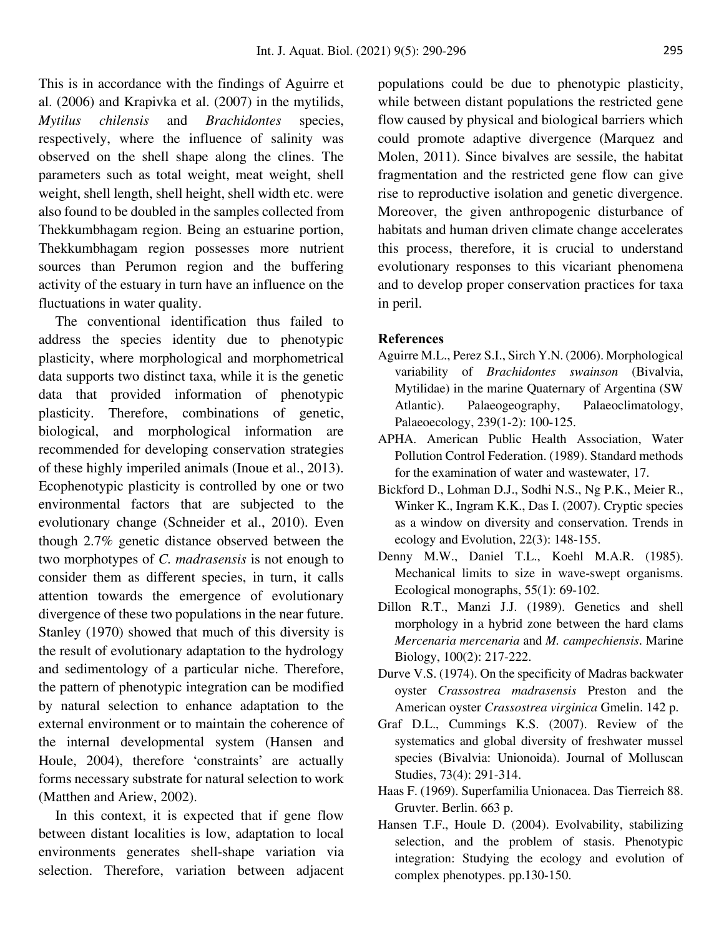This is in accordance with the findings of Aguirre et al. (2006) and Krapivka et al. (2007) in the mytilids, *Mytilus chilensis* and *Brachidontes* species, respectively, where the influence of salinity was observed on the shell shape along the clines. The parameters such as total weight, meat weight, shell weight, shell length, shell height, shell width etc. were also found to be doubled in the samples collected from Thekkumbhagam region. Being an estuarine portion, Thekkumbhagam region possesses more nutrient sources than Perumon region and the buffering activity of the estuary in turn have an influence on the fluctuations in water quality.

The conventional identification thus failed to address the species identity due to phenotypic plasticity, where morphological and morphometrical data supports two distinct taxa, while it is the genetic data that provided information of phenotypic plasticity. Therefore, combinations of genetic, biological, and morphological information are recommended for developing conservation strategies of these highly imperiled animals (Inoue et al., 2013). Ecophenotypic plasticity is controlled by one or two environmental factors that are subjected to the evolutionary change (Schneider et al., 2010). Even though 2.7% genetic distance observed between the two morphotypes of *C. madrasensis* is not enough to consider them as different species, in turn, it calls attention towards the emergence of evolutionary divergence of these two populations in the near future. Stanley (1970) showed that much of this diversity is the result of evolutionary adaptation to the hydrology and sedimentology of a particular niche. Therefore, the pattern of phenotypic integration can be modified by natural selection to enhance adaptation to the external environment or to maintain the coherence of the internal developmental system (Hansen and Houle, 2004), therefore 'constraints' are actually forms necessary substrate for natural selection to work (Matthen and Ariew, 2002).

In this context, it is expected that if gene flow between distant localities is low, adaptation to local environments generates shell-shape variation via selection. Therefore, variation between adjacent

populations could be due to phenotypic plasticity, while between distant populations the restricted gene flow caused by physical and biological barriers which could promote adaptive divergence (Marquez and Molen, 2011). Since bivalves are sessile, the habitat fragmentation and the restricted gene flow can give rise to reproductive isolation and genetic divergence. Moreover, the given anthropogenic disturbance of habitats and human driven climate change accelerates this process, therefore, it is crucial to understand evolutionary responses to this vicariant phenomena and to develop proper conservation practices for taxa in peril.

## **References**

- Aguirre M.L., Perez S.I., Sirch Y.N. (2006). Morphological variability of *Brachidontes swainson* (Bivalvia, Mytilidae) in the marine Quaternary of Argentina (SW Atlantic). Palaeogeography, Palaeoclimatology, Palaeoecology, 239(1-2): 100-125.
- APHA. American Public Health Association, Water Pollution Control Federation. (1989). Standard methods for the examination of water and wastewater, 17.
- Bickford D., Lohman D.J., Sodhi N.S., Ng P.K., Meier R., Winker K., Ingram K.K., Das I. (2007). Cryptic species as a window on diversity and conservation. Trends in ecology and Evolution, 22(3): 148-155.
- Denny M.W., Daniel T.L., Koehl M.A.R. (1985). Mechanical limits to size in wave‐swept organisms. Ecological monographs, 55(1): 69-102.
- Dillon R.T., Manzi J.J. (1989). Genetics and shell morphology in a hybrid zone between the hard clams *Mercenaria mercenaria* and *M. campechiensis*. Marine Biology, 100(2): 217-222.
- Durve V.S. (1974). On the specificity of Madras backwater oyster *Crassostrea madrasensis* Preston and the American oyster *Crassostrea virginica* Gmelin. 142 p.
- Graf D.L., Cummings K.S. (2007). Review of the systematics and global diversity of freshwater mussel species (Bivalvia: Unionoida). Journal of Molluscan Studies, 73(4): 291-314.
- Haas F. (1969). Superfamilia Unionacea. Das Tierreich 88. Gruvter. Berlin. 663 p.
- Hansen T.F., Houle D. (2004). Evolvability, stabilizing selection, and the problem of stasis. Phenotypic integration: Studying the ecology and evolution of complex phenotypes. pp.130-150.